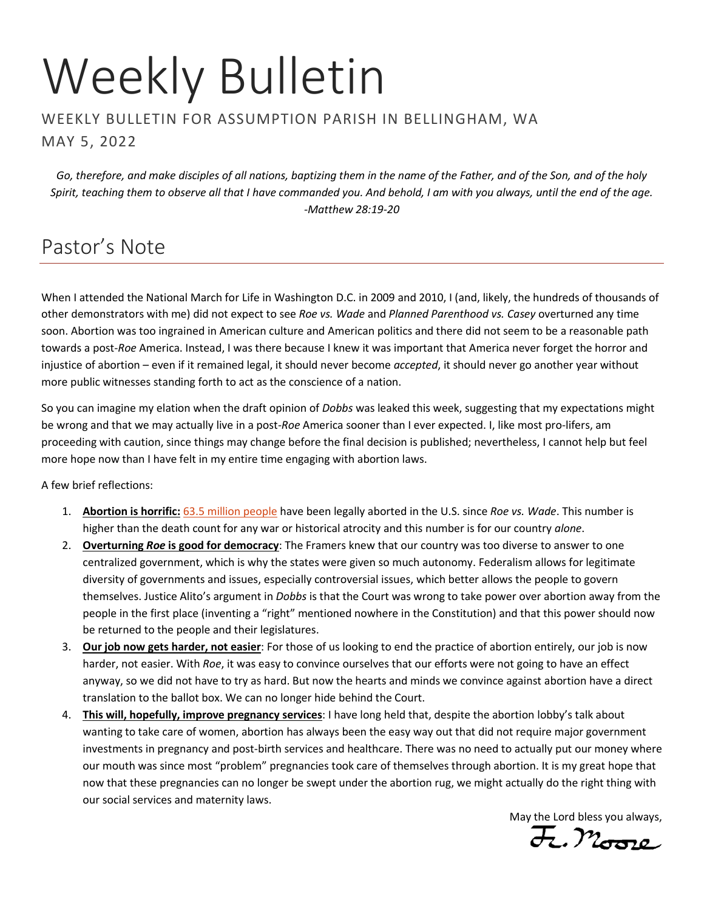# Weekly Bulletin

#### WEEKLY BULLETIN FOR ASSUMPTION PARISH IN BELLINGHAM, WA MAY 5, 2022

*Go, therefore, and make disciples of all nations, baptizing them in the name of the Father, and of the Son, and of the holy Spirit, teaching them to observe all that I have commanded you. And behold, I am with you always, until the end of the age. -Matthew 28:19-20*

# Pastor's Note

When I attended the National March for Life in Washington D.C. in 2009 and 2010, I (and, likely, the hundreds of thousands of other demonstrators with me) did not expect to see *Roe vs. Wade* and *Planned Parenthood vs. Casey* overturned any time soon. Abortion was too ingrained in American culture and American politics and there did not seem to be a reasonable path towards a post-*Roe* America. Instead, I was there because I knew it was important that America never forget the horror and injustice of abortion – even if it remained legal, it should never become *accepted*, it should never go another year without more public witnesses standing forth to act as the conscience of a nation.

So you can imagine my elation when the draft opinion of *Dobbs* was leaked this week, suggesting that my expectations might be wrong and that we may actually live in a post-*Roe* America sooner than I ever expected. I, like most pro-lifers, am proceeding with caution, since things may change before the final decision is published; nevertheless, I cannot help but feel more hope now than I have felt in my entire time engaging with abortion laws.

A few brief reflections:

- 1. **Abortion is horrific:** [63.5 million people](http://www.nrlc.org/uploads/factsheets/FS01AbortionintheUS.pdf) have been legally aborted in the U.S. since *Roe vs. Wade*. This number is higher than the death count for any war or historical atrocity and this number is for our country *alone*.
- 2. **Overturning** *Roe* **is good for democracy**: The Framers knew that our country was too diverse to answer to one centralized government, which is why the states were given so much autonomy. Federalism allows for legitimate diversity of governments and issues, especially controversial issues, which better allows the people to govern themselves. Justice Alito's argument in *Dobbs* is that the Court was wrong to take power over abortion away from the people in the first place (inventing a "right" mentioned nowhere in the Constitution) and that this power should now be returned to the people and their legislatures.
- 3. **Our job now gets harder, not easier**: For those of us looking to end the practice of abortion entirely, our job is now harder, not easier. With *Roe*, it was easy to convince ourselves that our efforts were not going to have an effect anyway, so we did not have to try as hard. But now the hearts and minds we convince against abortion have a direct translation to the ballot box. We can no longer hide behind the Court.
- 4. **This will, hopefully, improve pregnancy services**: I have long held that, despite the abortion lobby's talk about wanting to take care of women, abortion has always been the easy way out that did not require major government investments in pregnancy and post-birth services and healthcare. There was no need to actually put our money where our mouth was since most "problem" pregnancies took care of themselves through abortion. It is my great hope that now that these pregnancies can no longer be swept under the abortion rug, we might actually do the right thing with our social services and maternity laws.

May the Lord bless you always,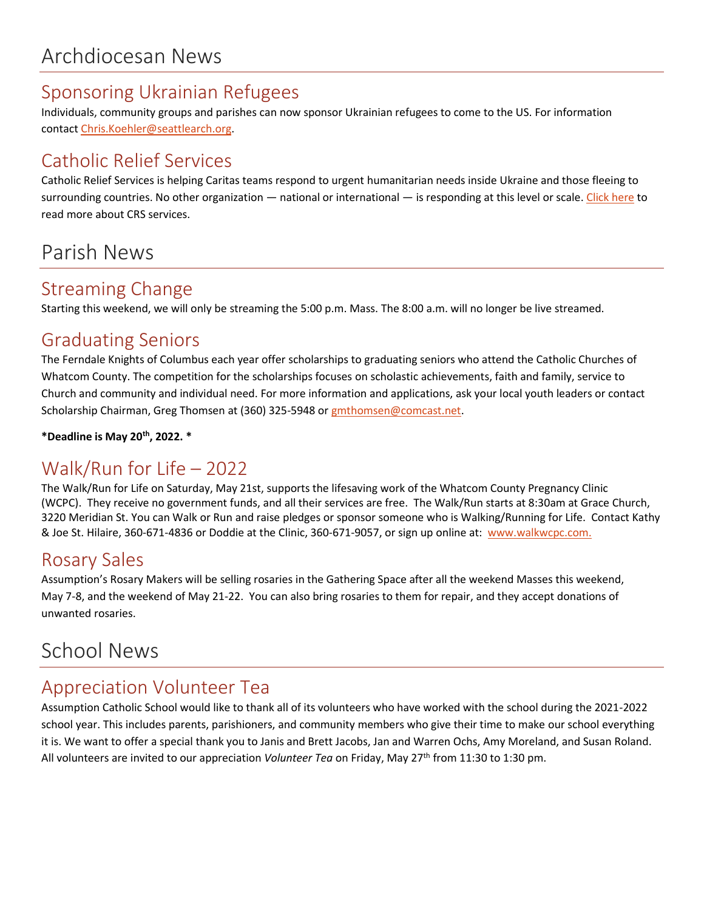## Sponsoring Ukrainian Refugees

Individuals, community groups and parishes can now sponsor Ukrainian refugees to come to the US. For information contact [Chris.Koehler@seattlearch.org.](mailto:Chris.Koehler@seattlearch.org)

# Catholic Relief Services

Catholic Relief Services is helping Caritas teams respond to urgent humanitarian needs inside Ukraine and those fleeing to surrounding countries. No other organization — national or international — is responding at this level or scale. [Click here](https://www.crs.org/stories/global-emergency-update-april-2022) to read more about CRS services.

# Parish News

## Streaming Change

Starting this weekend, we will only be streaming the 5:00 p.m. Mass. The 8:00 a.m. will no longer be live streamed.

## Graduating Seniors

The Ferndale Knights of Columbus each year offer scholarships to graduating seniors who attend the Catholic Churches of Whatcom County. The competition for the scholarships focuses on scholastic achievements, faith and family, service to Church and community and individual need. For more information and applications, ask your local youth leaders or contact Scholarship Chairman, Greg Thomsen at (360) 325-5948 or [gmthomsen@comcast.net.](mailto:gmthomsen@comcast.net)

**\*Deadline is May 20th, 2022. \***

# Walk/Run for Life – 2022

The Walk/Run for Life on Saturday, May 21st, supports the lifesaving work of the Whatcom County Pregnancy Clinic (WCPC). They receive no government funds, and all their services are free. The Walk/Run starts at 8:30am at Grace Church, 3220 Meridian St. You can Walk or Run and raise pledges or sponsor someone who is Walking/Running for Life. Contact Kathy & Joe St. Hilaire, 360-671-4836 or Doddie at the Clinic, 360-671-9057, or sign up online at: [www.walkwcpc.com.](http://www.walkwcpc.com/)

## Rosary Sales

Assumption's Rosary Makers will be selling rosaries in the Gathering Space after all the weekend Masses this weekend, May 7-8, and the weekend of May 21-22. You can also bring rosaries to them for repair, and they accept donations of unwanted rosaries.

# School News

## Appreciation Volunteer Tea

Assumption Catholic School would like to thank all of its volunteers who have worked with the school during the 2021-2022 school year. This includes parents, parishioners, and community members who give their time to make our school everything it is. We want to offer a special thank you to Janis and Brett Jacobs, Jan and Warren Ochs, Amy Moreland, and Susan Roland. All volunteers are invited to our appreciation *Volunteer Tea* on Friday, May 27th from 11:30 to 1:30 pm.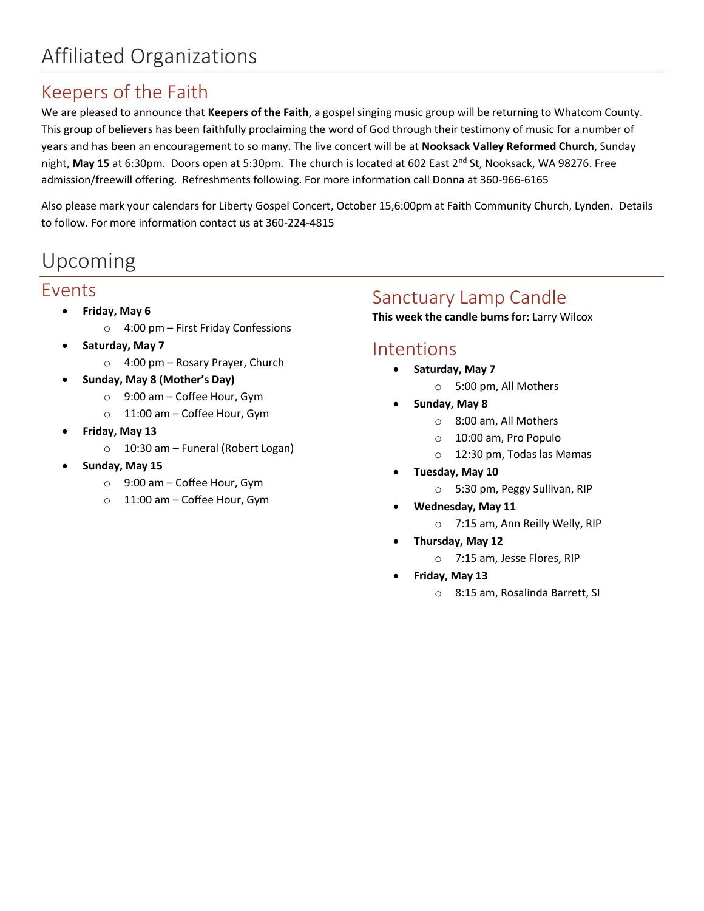# Keepers of the Faith

We are pleased to announce that **Keepers of the Faith**, a gospel singing music group will be returning to Whatcom County. This group of believers has been faithfully proclaiming the word of God through their testimony of music for a number of years and has been an encouragement to so many. The live concert will be at **Nooksack Valley Reformed Church**, Sunday night, May 15 at 6:30pm. Doors open at 5:30pm. The church is located at 602 East 2<sup>nd</sup> St, Nooksack, WA 98276. Free admission/freewill offering. Refreshments following. For more information call Donna at 360-966-6165

Also please mark your calendars for Liberty Gospel Concert, October 15,6:00pm at Faith Community Church, Lynden. Details to follow. For more information contact us at 360-224-4815

# Upcoming

#### Events

- **Friday, May 6**
	- o 4:00 pm First Friday Confessions
- **Saturday, May 7**
	- o 4:00 pm Rosary Prayer, Church
- **Sunday, May 8 (Mother's Day)**
	- o 9:00 am Coffee Hour, Gym
	- o 11:00 am Coffee Hour, Gym
- **Friday, May 13**
	- o 10:30 am Funeral (Robert Logan)
- **Sunday, May 15**
	- o 9:00 am Coffee Hour, Gym
	- o 11:00 am Coffee Hour, Gym

## Sanctuary Lamp Candle

**This week the candle burns for:** Larry Wilcox

#### Intentions

- **Saturday, May 7**
	- o 5:00 pm, All Mothers
- **Sunday, May 8**
	- o 8:00 am, All Mothers
	- o 10:00 am, Pro Populo
	- o 12:30 pm, Todas las Mamas
- **Tuesday, May 10**
	- o 5:30 pm, Peggy Sullivan, RIP
- **Wednesday, May 11**
	- o 7:15 am, Ann Reilly Welly, RIP
- **Thursday, May 12**
	- o 7:15 am, Jesse Flores, RIP
- **Friday, May 13**
	- o 8:15 am, Rosalinda Barrett, SI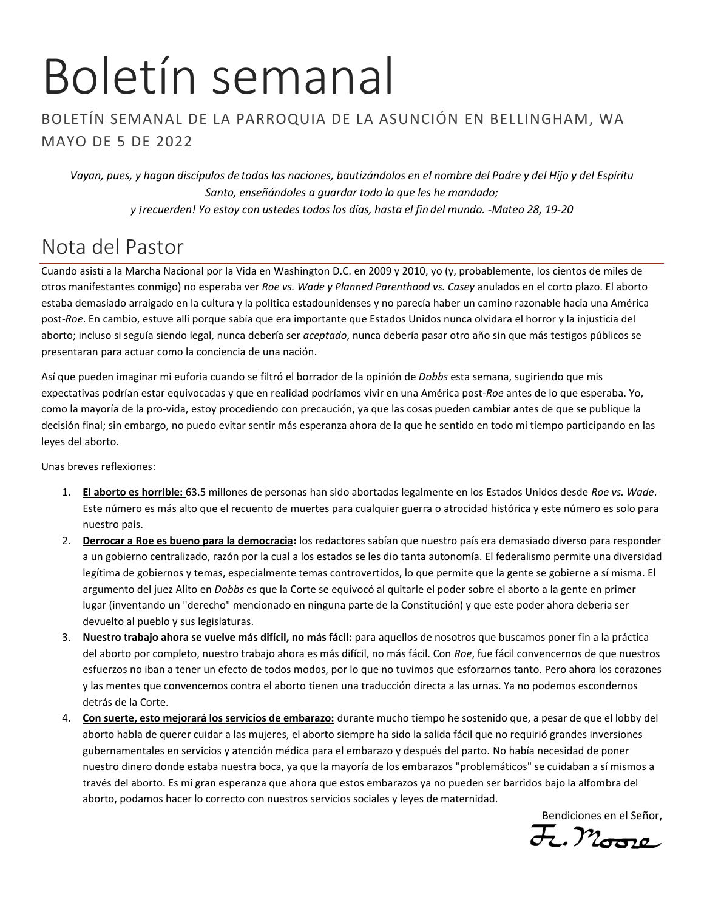# Boletín semanal

#### BOLETÍN SEMANAL DE LA PARROQUIA DE LA ASUNCIÓN EN BELLINGHAM, WA MAYO DE 5 DE 2022

*Vayan, pues, y hagan discípulos de todas las naciones, bautizándolos en el nombre del Padre y del Hijo y del Espíritu Santo, enseñándoles a guardar todo lo que les he mandado; y ¡recuerden! Yo estoy con ustedes todos los días, hasta el fin del mundo. -Mateo 28, 19-20*

# Nota del Pastor

Cuando asistí a la Marcha Nacional por la Vida en Washington D.C. en 2009 y 2010, yo (y, probablemente, los cientos de miles de otros manifestantes conmigo) no esperaba ver *Roe vs. Wade y Planned Parenthood vs. Casey* anulados en el corto plazo. El aborto estaba demasiado arraigado en la cultura y la política estadounidenses y no parecía haber un camino razonable hacia una América post-*Roe*. En cambio, estuve allí porque sabía que era importante que Estados Unidos nunca olvidara el horror y la injusticia del aborto; incluso si seguía siendo legal, nunca debería ser *aceptado*, nunca debería pasar otro año sin que más testigos públicos se presentaran para actuar como la conciencia de una nación.

Así que pueden imaginar mi euforia cuando se filtró el borrador de la opinión de *Dobbs* esta semana, sugiriendo que mis expectativas podrían estar equivocadas y que en realidad podríamos vivir en una América post-*Roe* antes de lo que esperaba. Yo, como la mayoría de la pro-vida, estoy procediendo con precaución, ya que las cosas pueden cambiar antes de que se publique la decisión final; sin embargo, no puedo evitar sentir más esperanza ahora de la que he sentido en todo mi tiempo participando en las leyes del aborto.

Unas breves reflexiones:

- 1. **El aborto es horrible:** 63.5 millones de personas han sido abortadas legalmente en los Estados Unidos desde *Roe vs. Wade*. Este número es más alto que el recuento de muertes para cualquier guerra o atrocidad histórica y este número es solo para nuestro país.
- 2. **Derrocar a Roe es bueno para la democracia:** los redactores sabían que nuestro país era demasiado diverso para responder a un gobierno centralizado, razón por la cual a los estados se les dio tanta autonomía. El federalismo permite una diversidad legítima de gobiernos y temas, especialmente temas controvertidos, lo que permite que la gente se gobierne a sí misma. El argumento del juez Alito en *Dobbs* es que la Corte se equivocó al quitarle el poder sobre el aborto a la gente en primer lugar (inventando un "derecho" mencionado en ninguna parte de la Constitución) y que este poder ahora debería ser devuelto al pueblo y sus legislaturas.
- 3. **Nuestro trabajo ahora se vuelve más difícil, no más fácil:** para aquellos de nosotros que buscamos poner fin a la práctica del aborto por completo, nuestro trabajo ahora es más difícil, no más fácil. Con *Roe*, fue fácil convencernos de que nuestros esfuerzos no iban a tener un efecto de todos modos, por lo que no tuvimos que esforzarnos tanto. Pero ahora los corazones y las mentes que convencemos contra el aborto tienen una traducción directa a las urnas. Ya no podemos escondernos detrás de la Corte.
- 4. **Con suerte, esto mejorará los servicios de embarazo:** durante mucho tiempo he sostenido que, a pesar de que el lobby del aborto habla de querer cuidar a las mujeres, el aborto siempre ha sido la salida fácil que no requirió grandes inversiones gubernamentales en servicios y atención médica para el embarazo y después del parto. No había necesidad de poner nuestro dinero donde estaba nuestra boca, ya que la mayoría de los embarazos "problemáticos" se cuidaban a sí mismos a través del aborto. Es mi gran esperanza que ahora que estos embarazos ya no pueden ser barridos bajo la alfombra del aborto, podamos hacer lo correcto con nuestros servicios sociales y leyes de maternidad.

Bendiciones en el Señor,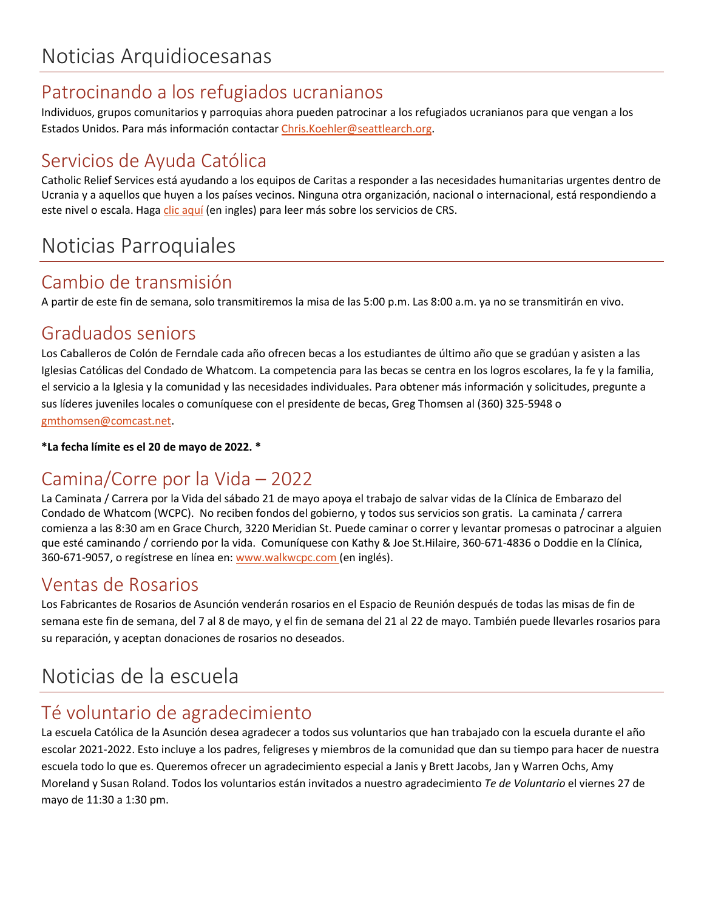# Patrocinando a los refugiados ucranianos

Individuos, grupos comunitarios y parroquias ahora pueden patrocinar a los refugiados ucranianos para que vengan a los Estados Unidos. Para más información contactar [Chris.Koehler@seattlearch.org.](mailto:Chris.Koehler@seattlearch.org)

# Servicios de Ayuda Católica

Catholic Relief Services está ayudando a los equipos de Caritas a responder a las necesidades humanitarias urgentes dentro de Ucrania y a aquellos que huyen a los países vecinos. Ninguna otra organización, nacional o internacional, está respondiendo a este nivel o escala. Haga clic [aquí](https://www.crs.org/stories/global-emergency-update-april-2022) (en ingles) para leer más sobre los servicios de CRS.

# Noticias Parroquiales

## Cambio de transmisión

A partir de este fin de semana, solo transmitiremos la misa de las 5:00 p.m. Las 8:00 a.m. ya no se transmitirán en vivo.

## Graduados seniors

Los Caballeros de Colón de Ferndale cada año ofrecen becas a los estudiantes de último año que se gradúan y asisten a las Iglesias Católicas del Condado de Whatcom. La competencia para las becas se centra en los logros escolares, la fe y la familia, el servicio a la Iglesia y la comunidad y las necesidades individuales. Para obtener más información y solicitudes, pregunte a sus líderes juveniles locales o comuníquese con el presidente de becas, Greg Thomsen al (360) 325-5948 o [gmthomsen@comcast.net.](mailto:gmthomsen@comcast.net)

**\*La fecha límite es el 20 de mayo de 2022. \*** 

# Camina/Corre por la Vida – 2022

La Caminata / Carrera por la Vida del sábado 21 de mayo apoya el trabajo de salvar vidas de la Clínica de Embarazo del Condado de Whatcom (WCPC). No reciben fondos del gobierno, y todos sus servicios son gratis. La caminata / carrera comienza a las 8:30 am en Grace Church, 3220 Meridian St. Puede caminar o correr y levantar promesas o patrocinar a alguien que esté caminando / corriendo por la vida. Comuníquese con Kathy & Joe St.Hilaire, 360-671-4836 o Doddie en la Clínica, 360-671-9057, o regístrese en línea en: [www.walkwcpc.com](http://www.walkwcpc.com/) (en inglés).

## Ventas de Rosarios

Los Fabricantes de Rosarios de Asunción venderán rosarios en el Espacio de Reunión después de todas las misas de fin de semana este fin de semana, del 7 al 8 de mayo, y el fin de semana del 21 al 22 de mayo. También puede llevarles rosarios para su reparación, y aceptan donaciones de rosarios no deseados.

# Noticias de la escuela

## Té voluntario de agradecimiento

La escuela Católica de la Asunción desea agradecer a todos sus voluntarios que han trabajado con la escuela durante el año escolar 2021-2022. Esto incluye a los padres, feligreses y miembros de la comunidad que dan su tiempo para hacer de nuestra escuela todo lo que es. Queremos ofrecer un agradecimiento especial a Janis y Brett Jacobs, Jan y Warren Ochs, Amy Moreland y Susan Roland. Todos los voluntarios están invitados a nuestro agradecimiento *Te de Voluntario* el viernes 27 de mayo de 11:30 a 1:30 pm.